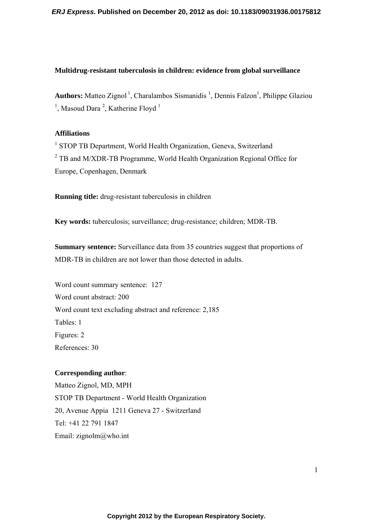# **Multidrug-resistant tuberculosis in children: evidence from global surveillance**

Authors: Matteo Zignol<sup>1</sup>, Charalambos Sismanidis<sup>1</sup>, Dennis Falzon<sup>1</sup>, Philippe Glaziou  $1$ , Masoud Dara<sup>2</sup>, Katherine Floyd<sup>1</sup>

## **Affiliations**

<sup>1</sup> STOP TB Department, World Health Organization, Geneva, Switzerland  $2^2$  TB and M/XDR-TB Programme, World Health Organization Regional Office for Europe, Copenhagen, Denmark

**Running title:** drug-resistant tuberculosis in children

**Key words:** tuberculosis; surveillance; drug-resistance; children; MDR-TB.

**Summary sentence:** Surveillance data from 35 countries suggest that proportions of MDR-TB in children are not lower than those detected in adults.

Word count summary sentence: 127 Word count abstract: 200 Word count text excluding abstract and reference: 2,185 Tables: 1 Figures: 2 References: 30

# **Corresponding author**:

Matteo Zignol, MD, MPH STOP TB Department - World Health Organization 20, Avenue Appia 1211 Geneva 27 - Switzerland Tel: +41 22 791 1847 Email: zignolm@who.int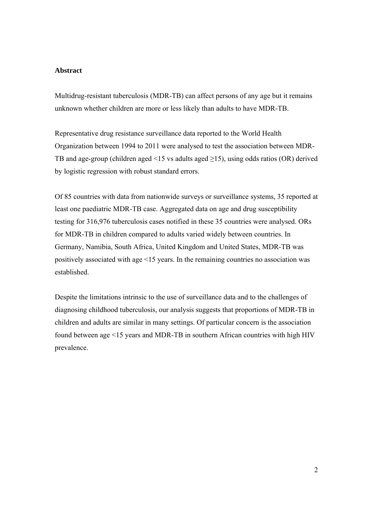#### **Abstract**

Multidrug-resistant tuberculosis (MDR-TB) can affect persons of any age but it remains unknown whether children are more or less likely than adults to have MDR-TB.

Representative drug resistance surveillance data reported to the World Health Organization between 1994 to 2011 were analysed to test the association between MDR-TB and age-group (children aged <15 vs adults aged  $\geq$ 15), using odds ratios (OR) derived by logistic regression with robust standard errors.

Of 85 countries with data from nationwide surveys or surveillance systems, 35 reported at least one paediatric MDR-TB case. Aggregated data on age and drug susceptibility testing for 316,976 tuberculosis cases notified in these 35 countries were analysed. ORs for MDR-TB in children compared to adults varied widely between countries. In Germany, Namibia, South Africa, United Kingdom and United States, MDR-TB was positively associated with age <15 years. In the remaining countries no association was established.

Despite the limitations intrinsic to the use of surveillance data and to the challenges of diagnosing childhood tuberculosis, our analysis suggests that proportions of MDR-TB in children and adults are similar in many settings. Of particular concern is the association found between age <15 years and MDR-TB in southern African countries with high HIV prevalence.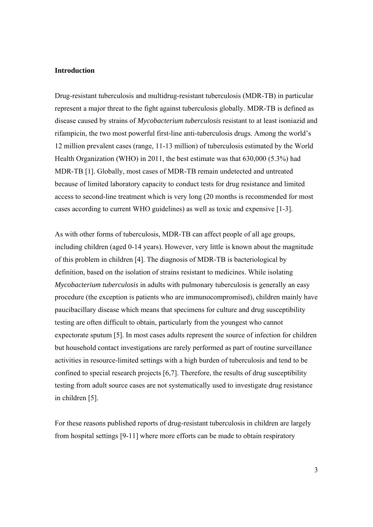#### **Introduction**

Drug-resistant tuberculosis and multidrug-resistant tuberculosis (MDR-TB) in particular represent a major threat to the fight against tuberculosis globally. MDR-TB is defined as disease caused by strains of *Mycobacterium tuberculosis* resistant to at least isoniazid and rifampicin, the two most powerful first-line anti-tuberculosis drugs. Among the world's 12 million prevalent cases (range, 11-13 million) of tuberculosis estimated by the World Health Organization (WHO) in 2011, the best estimate was that 630,000 (5.3%) had MDR-TB [1]. Globally, most cases of MDR-TB remain undetected and untreated because of limited laboratory capacity to conduct tests for drug resistance and limited access to second-line treatment which is very long (20 months is recommended for most cases according to current WHO guidelines) as well as toxic and expensive [1-3].

As with other forms of tuberculosis, MDR-TB can affect people of all age groups, including children (aged 0-14 years). However, very little is known about the magnitude of this problem in children [4]. The diagnosis of MDR-TB is bacteriological by definition, based on the isolation of strains resistant to medicines. While isolating *Mycobacterium tuberculosis* in adults with pulmonary tuberculosis is generally an easy procedure (the exception is patients who are immunocompromised), children mainly have paucibacillary disease which means that specimens for culture and drug susceptibility testing are often difficult to obtain, particularly from the youngest who cannot expectorate sputum [5]. In most cases adults represent the source of infection for children but household contact investigations are rarely performed as part of routine surveillance activities in resource-limited settings with a high burden of tuberculosis and tend to be confined to special research projects [6,7]. Therefore, the results of drug susceptibility testing from adult source cases are not systematically used to investigate drug resistance in children [5].

For these reasons published reports of drug-resistant tuberculosis in children are largely from hospital settings [9-11] where more efforts can be made to obtain respiratory

3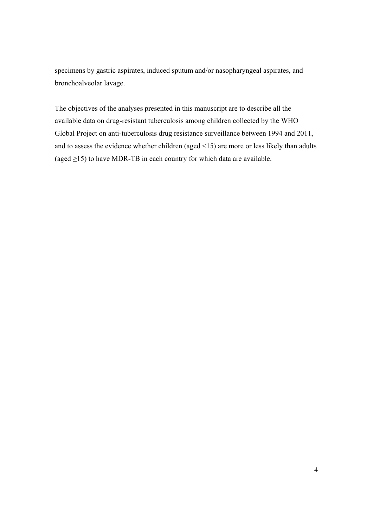specimens by gastric aspirates, induced sputum and/or nasopharyngeal aspirates, and bronchoalveolar lavage.

The objectives of the analyses presented in this manuscript are to describe all the available data on drug-resistant tuberculosis among children collected by the WHO Global Project on anti-tuberculosis drug resistance surveillance between 1994 and 2011, and to assess the evidence whether children (aged <15) are more or less likely than adults (aged  $\geq$ 15) to have MDR-TB in each country for which data are available.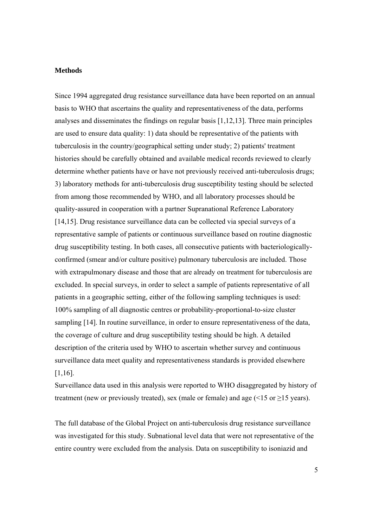#### **Methods**

Since 1994 aggregated drug resistance surveillance data have been reported on an annual basis to WHO that ascertains the quality and representativeness of the data, performs analyses and disseminates the findings on regular basis [1,12,13]. Three main principles are used to ensure data quality: 1) data should be representative of the patients with tuberculosis in the country/geographical setting under study; 2) patients' treatment histories should be carefully obtained and available medical records reviewed to clearly determine whether patients have or have not previously received anti-tuberculosis drugs; 3) laboratory methods for anti-tuberculosis drug susceptibility testing should be selected from among those recommended by WHO, and all laboratory processes should be quality-assured in cooperation with a partner Supranational Reference Laboratory [14,15]. Drug resistance surveillance data can be collected via special surveys of a representative sample of patients or continuous surveillance based on routine diagnostic drug susceptibility testing. In both cases, all consecutive patients with bacteriologicallyconfirmed (smear and/or culture positive) pulmonary tuberculosis are included. Those with extrapulmonary disease and those that are already on treatment for tuberculosis are excluded. In special surveys, in order to select a sample of patients representative of all patients in a geographic setting, either of the following sampling techniques is used: 100% sampling of all diagnostic centres or probability-proportional-to-size cluster sampling [14]. In routine surveillance, in order to ensure representativeness of the data, the coverage of culture and drug susceptibility testing should be high. A detailed description of the criteria used by WHO to ascertain whether survey and continuous surveillance data meet quality and representativeness standards is provided elsewhere [1,16].

Surveillance data used in this analysis were reported to WHO disaggregated by history of treatment (new or previously treated), sex (male or female) and age  $($  <15 or  $\geq$ 15 years).

The full database of the Global Project on anti-tuberculosis drug resistance surveillance was investigated for this study. Subnational level data that were not representative of the entire country were excluded from the analysis. Data on susceptibility to isoniazid and

5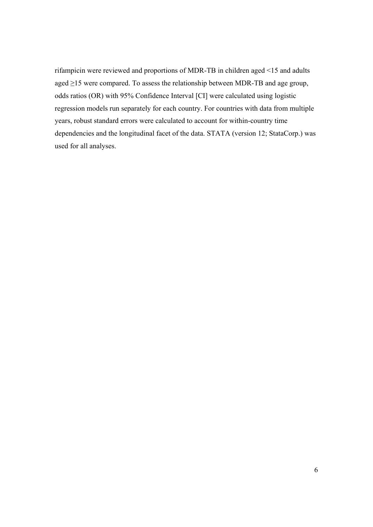rifampicin were reviewed and proportions of MDR-TB in children aged <15 and adults aged ≥15 were compared. To assess the relationship between MDR-TB and age group, odds ratios (OR) with 95% Confidence Interval [CI] were calculated using logistic regression models run separately for each country. For countries with data from multiple years, robust standard errors were calculated to account for within-country time dependencies and the longitudinal facet of the data. STATA (version 12; StataCorp.) was used for all analyses.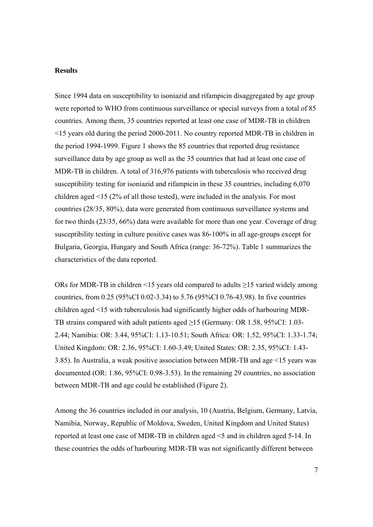#### **Results**

Since 1994 data on susceptibility to isoniazid and rifampicin disaggregated by age group were reported to WHO from continuous surveillance or special surveys from a total of 85 countries. Among them, 35 countries reported at least one case of MDR-TB in children <15 years old during the period 2000-2011. No country reported MDR-TB in children in the period 1994-1999. Figure 1 shows the 85 countries that reported drug resistance surveillance data by age group as well as the 35 countries that had at least one case of MDR-TB in children. A total of 316,976 patients with tuberculosis who received drug susceptibility testing for isoniazid and rifampicin in these 35 countries, including 6,070 children aged <15 (2% of all those tested), were included in the analysis. For most countries (28/35, 80%), data were generated from continuous surveillance systems and for two thirds (23/35, 66%) data were available for more than one year. Coverage of drug susceptibility testing in culture positive cases was 86-100% in all age-groups except for Bulgaria, Georgia, Hungary and South Africa (range: 36-72%). Table 1 summarizes the characteristics of the data reported.

ORs for MDR-TB in children <15 years old compared to adults ≥15 varied widely among countries, from 0.25 (95%CI 0.02-3.34) to 5.76 (95%CI 0.76-43.98). In five countries children aged <15 with tuberculosis had significantly higher odds of harbouring MDR-TB strains compared with adult patients aged ≥15 (Germany: OR 1.58, 95%CI: 1.03- 2.44; Namibia: OR: 3.44, 95%CI: 1.13-10.51; South Africa: OR: 1.52, 95%CI: 1.33-1.74; United Kingdom: OR: 2.36, 95%CI: 1.60-3.49; United States: OR: 2.35, 95%CI: 1.43- 3.85). In Australia, a weak positive association between MDR-TB and age <15 years was documented (OR: 1.86, 95%CI: 0.98-3.53). In the remaining 29 countries, no association between MDR-TB and age could be established (Figure 2).

Among the 36 countries included in our analysis, 10 (Austria, Belgium, Germany, Latvia, Namibia, Norway, Republic of Moldova, Sweden, United Kingdom and United States) reported at least one case of MDR-TB in children aged <5 and in children aged 5-14. In these countries the odds of harbouring MDR-TB was not significantly different between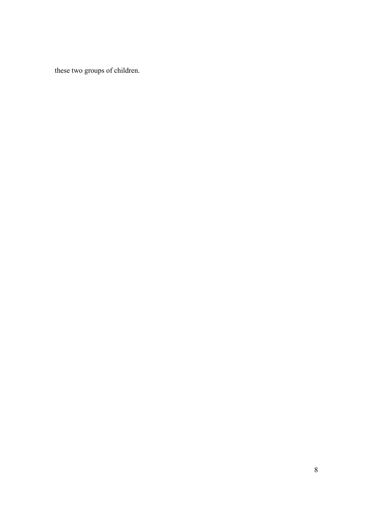these two groups of children.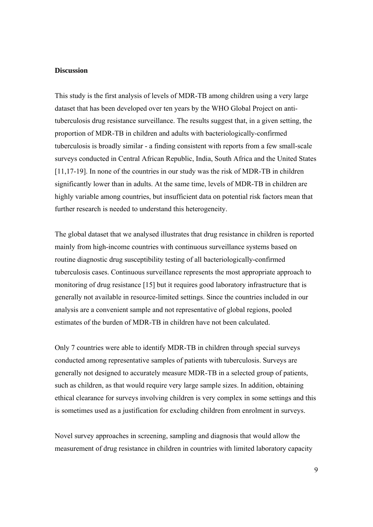#### **Discussion**

This study is the first analysis of levels of MDR-TB among children using a very large dataset that has been developed over ten years by the WHO Global Project on antituberculosis drug resistance surveillance. The results suggest that, in a given setting, the proportion of MDR-TB in children and adults with bacteriologically-confirmed tuberculosis is broadly similar - a finding consistent with reports from a few small-scale surveys conducted in Central African Republic, India, South Africa and the United States [11,17-19]. In none of the countries in our study was the risk of MDR-TB in children significantly lower than in adults. At the same time, levels of MDR-TB in children are highly variable among countries, but insufficient data on potential risk factors mean that further research is needed to understand this heterogeneity.

The global dataset that we analysed illustrates that drug resistance in children is reported mainly from high-income countries with continuous surveillance systems based on routine diagnostic drug susceptibility testing of all bacteriologically-confirmed tuberculosis cases. Continuous surveillance represents the most appropriate approach to monitoring of drug resistance [15] but it requires good laboratory infrastructure that is generally not available in resource-limited settings. Since the countries included in our analysis are a convenient sample and not representative of global regions, pooled estimates of the burden of MDR-TB in children have not been calculated.

Only 7 countries were able to identify MDR-TB in children through special surveys conducted among representative samples of patients with tuberculosis. Surveys are generally not designed to accurately measure MDR-TB in a selected group of patients, such as children, as that would require very large sample sizes. In addition, obtaining ethical clearance for surveys involving children is very complex in some settings and this is sometimes used as a justification for excluding children from enrolment in surveys.

Novel survey approaches in screening, sampling and diagnosis that would allow the measurement of drug resistance in children in countries with limited laboratory capacity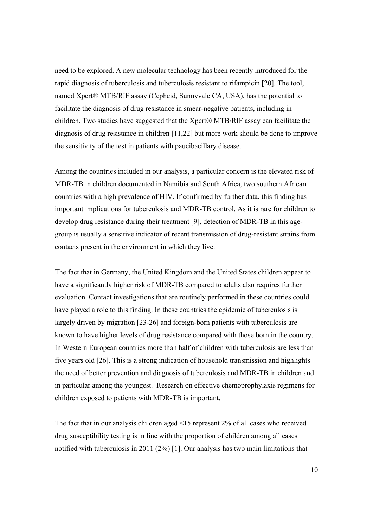need to be explored. A new molecular technology has been recently introduced for the rapid diagnosis of tuberculosis and tuberculosis resistant to rifampicin [20]. The tool, named Xpert® MTB/RIF assay (Cepheid, Sunnyvale CA, USA), has the potential to facilitate the diagnosis of drug resistance in smear-negative patients, including in children. Two studies have suggested that the Xpert® MTB/RIF assay can facilitate the diagnosis of drug resistance in children [11,22] but more work should be done to improve the sensitivity of the test in patients with paucibacillary disease.

Among the countries included in our analysis, a particular concern is the elevated risk of MDR-TB in children documented in Namibia and South Africa, two southern African countries with a high prevalence of HIV. If confirmed by further data, this finding has important implications for tuberculosis and MDR-TB control. As it is rare for children to develop drug resistance during their treatment [9], detection of MDR-TB in this agegroup is usually a sensitive indicator of recent transmission of drug-resistant strains from contacts present in the environment in which they live.

The fact that in Germany, the United Kingdom and the United States children appear to have a significantly higher risk of MDR-TB compared to adults also requires further evaluation. Contact investigations that are routinely performed in these countries could have played a role to this finding. In these countries the epidemic of tuberculosis is largely driven by migration [23-26] and foreign-born patients with tuberculosis are known to have higher levels of drug resistance compared with those born in the country. In Western European countries more than half of children with tuberculosis are less than five years old [26]. This is a strong indication of household transmission and highlights the need of better prevention and diagnosis of tuberculosis and MDR-TB in children and in particular among the youngest. Research on effective chemoprophylaxis regimens for children exposed to patients with MDR-TB is important.

The fact that in our analysis children aged <15 represent 2% of all cases who received drug susceptibility testing is in line with the proportion of children among all cases notified with tuberculosis in 2011 (2%) [1]. Our analysis has two main limitations that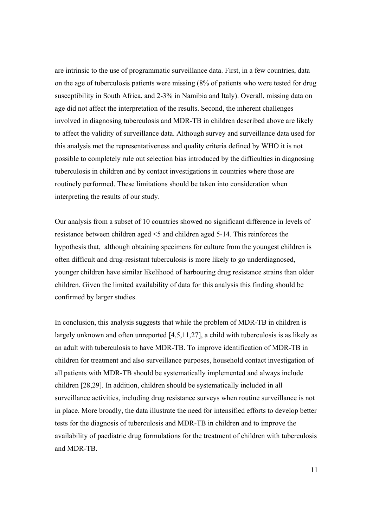are intrinsic to the use of programmatic surveillance data. First, in a few countries, data on the age of tuberculosis patients were missing (8% of patients who were tested for drug susceptibility in South Africa, and 2-3% in Namibia and Italy). Overall, missing data on age did not affect the interpretation of the results. Second, the inherent challenges involved in diagnosing tuberculosis and MDR-TB in children described above are likely to affect the validity of surveillance data. Although survey and surveillance data used for this analysis met the representativeness and quality criteria defined by WHO it is not possible to completely rule out selection bias introduced by the difficulties in diagnosing tuberculosis in children and by contact investigations in countries where those are routinely performed. These limitations should be taken into consideration when interpreting the results of our study.

Our analysis from a subset of 10 countries showed no significant difference in levels of resistance between children aged <5 and children aged 5-14. This reinforces the hypothesis that, although obtaining specimens for culture from the youngest children is often difficult and drug-resistant tuberculosis is more likely to go underdiagnosed, younger children have similar likelihood of harbouring drug resistance strains than older children. Given the limited availability of data for this analysis this finding should be confirmed by larger studies.

In conclusion, this analysis suggests that while the problem of MDR-TB in children is largely unknown and often unreported [4,5,11,27], a child with tuberculosis is as likely as an adult with tuberculosis to have MDR-TB. To improve identification of MDR-TB in children for treatment and also surveillance purposes, household contact investigation of all patients with MDR-TB should be systematically implemented and always include children [28,29]. In addition, children should be systematically included in all surveillance activities, including drug resistance surveys when routine surveillance is not in place. More broadly, the data illustrate the need for intensified efforts to develop better tests for the diagnosis of tuberculosis and MDR-TB in children and to improve the availability of paediatric drug formulations for the treatment of children with tuberculosis and MDR-TB.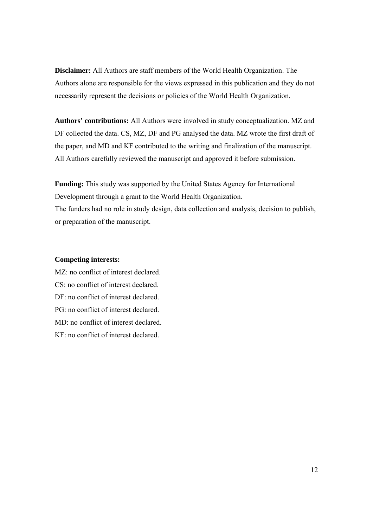**Disclaimer:** All Authors are staff members of the World Health Organization. The Authors alone are responsible for the views expressed in this publication and they do not necessarily represent the decisions or policies of the World Health Organization.

**Authors' contributions:** All Authors were involved in study conceptualization. MZ and DF collected the data. CS, MZ, DF and PG analysed the data. MZ wrote the first draft of the paper, and MD and KF contributed to the writing and finalization of the manuscript. All Authors carefully reviewed the manuscript and approved it before submission.

**Funding:** This study was supported by the United States Agency for International Development through a grant to the World Health Organization. The funders had no role in study design, data collection and analysis, decision to publish, or preparation of the manuscript.

### **Competing interests:**

MZ: no conflict of interest declared. CS: no conflict of interest declared. DF: no conflict of interest declared. PG: no conflict of interest declared. MD: no conflict of interest declared. KF: no conflict of interest declared.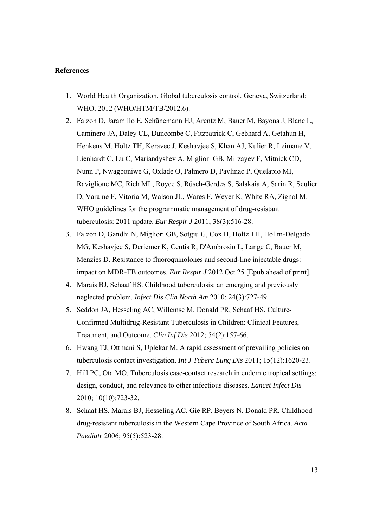#### **References**

- 1. World Health Organization. Global tuberculosis control. Geneva, Switzerland: WHO, 2012 (WHO/HTM/TB/2012.6).
- 2. Falzon D, Jaramillo E, Schünemann HJ, Arentz M, Bauer M, Bayona J, Blanc L, Caminero JA, Daley CL, Duncombe C, Fitzpatrick C, Gebhard A, Getahun H, Henkens M, Holtz TH, Keravec J, Keshavjee S, Khan AJ, Kulier R, Leimane V, Lienhardt C, Lu C, Mariandyshev A, Migliori GB, Mirzayev F, Mitnick CD, Nunn P, Nwagboniwe G, Oxlade O, Palmero D, Pavlinac P, Quelapio MI, Raviglione MC, Rich ML, Royce S, Rüsch-Gerdes S, Salakaia A, Sarin R, Sculier D, Varaine F, Vitoria M, Walson JL, Wares F, Weyer K, White RA, Zignol M. WHO guidelines for the programmatic management of drug-resistant tuberculosis: 2011 update. *Eur Respir J* 2011; 38(3):516-28.
- 3. Falzon D, Gandhi N, Migliori GB, Sotgiu G, Cox H, Holtz TH, Hollm-Delgado MG, Keshavjee S, Deriemer K, Centis R, D'Ambrosio L, Lange C, Bauer M, Menzies D. Resistance to fluoroquinolones and second-line injectable drugs: impact on MDR-TB outcomes. *Eur Respir J* 2012 Oct 25 [Epub ahead of print].
- 4. Marais BJ, Schaaf HS. Childhood tuberculosis: an emerging and previously neglected problem. *Infect Dis Clin North Am* 2010; 24(3):727-49.
- 5. Seddon JA, Hesseling AC, Willemse M, Donald PR, Schaaf HS. Culture-Confirmed Multidrug-Resistant Tuberculosis in Children: Clinical Features, Treatment, and Outcome. *Clin Inf Dis* 2012; 54(2):157-66.
- 6. Hwang TJ, Ottmani S, Uplekar M. A rapid assessment of prevailing policies on tuberculosis contact investigation. *Int J Tuberc Lung Dis* 2011; 15(12):1620-23.
- 7. Hill PC, Ota MO. Tuberculosis case-contact research in endemic tropical settings: design, conduct, and relevance to other infectious diseases. *Lancet Infect Dis* 2010; 10(10):723-32.
- 8. Schaaf HS, Marais BJ, Hesseling AC, Gie RP, Beyers N, Donald PR. Childhood drug-resistant tuberculosis in the Western Cape Province of South Africa. *Acta Paediatr* 2006; 95(5):523-28.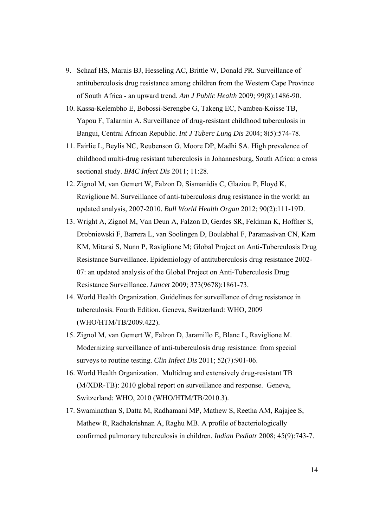- 9. Schaaf HS, Marais BJ, Hesseling AC, Brittle W, Donald PR. Surveillance of antituberculosis drug resistance among children from the Western Cape Province of South Africa - an upward trend. *Am J Public Health* 2009; 99(8):1486-90.
- 10. Kassa-Kelembho E, Bobossi-Serengbe G, Takeng EC, Nambea-Koisse TB, Yapou F, Talarmin A. Surveillance of drug-resistant childhood tuberculosis in Bangui, Central African Republic. *Int J Tuberc Lung Dis* 2004; 8(5):574-78.
- 11. Fairlie L, Beylis NC, Reubenson G, Moore DP, Madhi SA. High prevalence of childhood multi-drug resistant tuberculosis in Johannesburg, South Africa: a cross sectional study. *BMC Infect Dis* 2011; 11:28.
- 12. Zignol M, van Gemert W, Falzon D, Sismanidis C, Glaziou P, Floyd K, Raviglione M. Surveillance of anti-tuberculosis drug resistance in the world: an updated analysis, 2007-2010. *Bull World Health Organ* 2012; 90(2):111-19D.
- 13. Wright A, Zignol M, Van Deun A, Falzon D, Gerdes SR, Feldman K, Hoffner S, Drobniewski F, Barrera L, van Soolingen D, Boulabhal F, Paramasivan CN, Kam KM, Mitarai S, Nunn P, Raviglione M; Global Project on Anti-Tuberculosis Drug Resistance Surveillance. Epidemiology of antituberculosis drug resistance 2002- 07: an updated analysis of the Global Project on Anti-Tuberculosis Drug Resistance Surveillance. *Lancet* 2009; 373(9678):1861-73.
- 14. World Health Organization. Guidelines for surveillance of drug resistance in tuberculosis. Fourth Edition. Geneva, Switzerland: WHO, 2009 (WHO/HTM/TB/2009.422).
- 15. Zignol M, van Gemert W, Falzon D, Jaramillo E, Blanc L, Raviglione M. Modernizing surveillance of anti-tuberculosis drug resistance: from special surveys to routine testing. *Clin Infect Dis* 2011; 52(7):901-06.
- 16. World Health Organization. Multidrug and extensively drug-resistant TB (M/XDR-TB): 2010 global report on surveillance and response. Geneva, Switzerland: WHO, 2010 (WHO/HTM/TB/2010.3).
- 17. Swaminathan S, Datta M, Radhamani MP, Mathew S, Reetha AM, Rajajee S, Mathew R, Radhakrishnan A, Raghu MB. A profile of bacteriologically confirmed pulmonary tuberculosis in children. *Indian Pediatr* 2008; 45(9):743-7.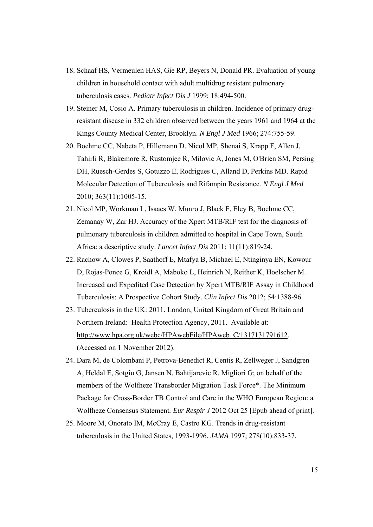- 18. Schaaf HS, Vermeulen HAS, Gie RP, Beyers N, Donald PR. Evaluation of young children in household contact with adult multidrug resistant pulmonary tuberculosis cases. *Pediatr Infect Dis J* 1999; 18:494-500.
- 19. Steiner M, Cosio A. Primary tuberculosis in children. Incidence of primary drugresistant disease in 332 children observed between the years 1961 and 1964 at the Kings County Medical Center, Brooklyn. *N Engl J Med* 1966; 274:755-59.
- 20. Boehme CC, Nabeta P, Hillemann D, Nicol MP, Shenai S, Krapp F, Allen J, Tahirli R, Blakemore R, Rustomjee R, Milovic A, Jones M, O'Brien SM, Persing DH, Ruesch-Gerdes S, Gotuzzo E, Rodrigues C, Alland D, Perkins MD. Rapid Molecular Detection of Tuberculosis and Rifampin Resistance*. N Engl J Med*  2010; 363(11):1005-15.
- 21. Nicol MP, Workman L, Isaacs W, Munro J, Black F, Eley B, Boehme CC, Zemanay W, Zar HJ. Accuracy of the Xpert MTB/RIF test for the diagnosis of pulmonary tuberculosis in children admitted to hospital in Cape Town, South Africa: a descriptive study. *Lancet Infect Dis* 2011; 11(11):819-24.
- 22. Rachow A, Clowes P, Saathoff E, Mtafya B, Michael E, Ntinginya EN, Kowour D, Rojas-Ponce G, Kroidl A, Maboko L, Heinrich N, Reither K, Hoelscher M. Increased and Expedited Case Detection by Xpert MTB/RIF Assay in Childhood Tuberculosis: A Prospective Cohort Study*. Clin Infect Dis* 2012; 54:1388-96.
- 23. Tuberculosis in the UK: 2011. London, United Kingdom of Great Britain and Northern Ireland: Health Protection Agency, 2011. Available at: http://www.hpa.org.uk/webc/HPAwebFile/HPAweb\_C/1317131791612. (Accessed on 1 November 2012).
- 24. Dara M, de Colombani P, Petrova-Benedict R, Centis R, Zellweger J, Sandgren A, Heldal E, Sotgiu G, Jansen N, Bahtijarevic R, Migliori G; on behalf of the members of the Wolfheze Transborder Migration Task Force\*. The Minimum Package for Cross-Border TB Control and Care in the WHO European Region: a Wolfheze Consensus Statement*. Eur Respir J* 2012 Oct 25 [Epub ahead of print].
- 25. Moore M, Onorato IM, McCray E, Castro KG. Trends in drug-resistant tuberculosis in the United States, 1993-1996. *JAMA* 1997; 278(10):833-37.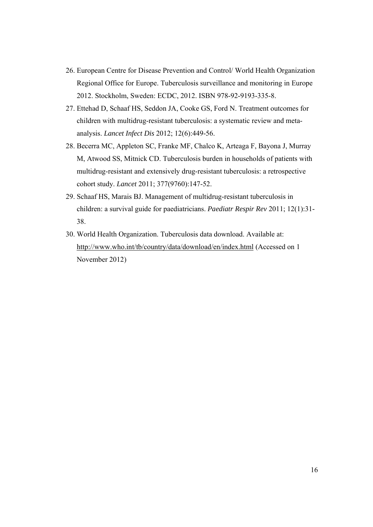- 26. European Centre for Disease Prevention and Control/ World Health Organization Regional Office for Europe. Tuberculosis surveillance and monitoring in Europe 2012. Stockholm, Sweden: ECDC, 2012. ISBN 978-92-9193-335-8.
- 27. Ettehad D, Schaaf HS, Seddon JA, Cooke GS, Ford N. Treatment outcomes for children with multidrug-resistant tuberculosis: a systematic review and metaanalysis. *Lancet Infect Dis* 2012; 12(6):449-56.
- 28. Becerra MC, Appleton SC, Franke MF, Chalco K, Arteaga F, Bayona J, Murray M, Atwood SS, Mitnick CD. Tuberculosis burden in households of patients with multidrug-resistant and extensively drug-resistant tuberculosis: a retrospective cohort study. *Lancet* 2011; 377(9760):147-52.
- 29. Schaaf HS, Marais BJ. Management of multidrug-resistant tuberculosis in children: a survival guide for paediatricians. *Paediatr Respir Rev* 2011; 12(1):31- 38.
- 30. World Health Organization. Tuberculosis data download. Available at: http://www.who.int/tb/country/data/download/en/index.html (Accessed on 1 November 2012)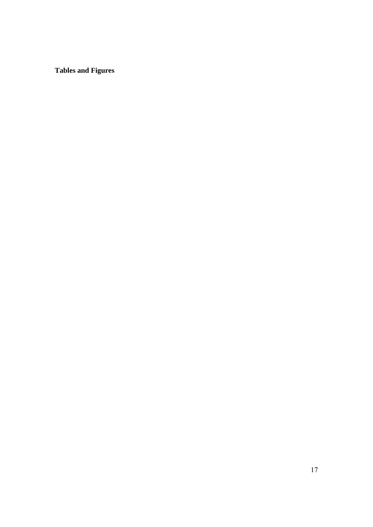**Tables and Figures**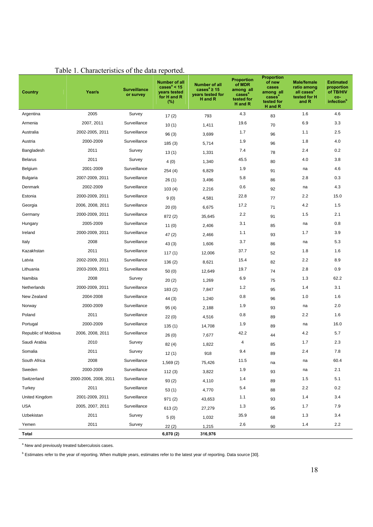| Country             | Year/s                | <b>Surveillance</b><br>or survey | Number of all<br>cases $a$ < 15<br>years tested<br>for H and R<br>(%) | Number of all<br>cases <sup>a</sup> $\geq$ 15<br>years tested for<br>H and R | <b>Proportion</b><br>of MDR<br>among all<br>cases <sup>a</sup><br>tested for<br>H and R | <b>Proportion</b><br>of new<br>cases<br>among all<br>cases <sup>a</sup><br>tested for<br>H and R | <b>Male/female</b><br>ratio among<br>all cases <sup>a</sup><br>tested for H<br>and R | <b>Estimated</b><br>proportion<br>of TB/HIV<br>co-<br>infection <sup>b</sup> |
|---------------------|-----------------------|----------------------------------|-----------------------------------------------------------------------|------------------------------------------------------------------------------|-----------------------------------------------------------------------------------------|--------------------------------------------------------------------------------------------------|--------------------------------------------------------------------------------------|------------------------------------------------------------------------------|
| Argentina           | 2005                  | Survey                           | 17(2)                                                                 | 793                                                                          | 4.3                                                                                     | 83                                                                                               | 1.6                                                                                  | 4.6                                                                          |
| Armenia             | 2007, 2011            | Surveillance                     | 10(1)                                                                 | 1,411                                                                        | 19.6                                                                                    | 70                                                                                               | 6.9                                                                                  | 3.3                                                                          |
| Australia           | 2002-2005, 2011       | Surveillance                     | 96(3)                                                                 | 3,699                                                                        | 1.7                                                                                     | 96                                                                                               | 1.1                                                                                  | 2.5                                                                          |
| Austria             | 2000-2009             | Surveillance                     | 185(3)                                                                | 5,714                                                                        | 1.9                                                                                     | 96                                                                                               | 1.8                                                                                  | 4.0                                                                          |
| Bangladesh          | 2011                  | Survey                           | 13(1)                                                                 | 1,331                                                                        | 7.4                                                                                     | 78                                                                                               | 2.4                                                                                  | 0.2                                                                          |
| <b>Belarus</b>      | 2011                  | Survey                           | 4(0)                                                                  | 1,340                                                                        | 45.5                                                                                    | 80                                                                                               | 4.0                                                                                  | 3.8                                                                          |
| Belgium             | 2001-2009             | Surveillance                     | 254 (4)                                                               | 6,829                                                                        | 1.9                                                                                     | 91                                                                                               | na                                                                                   | 4.6                                                                          |
| <b>Bulgaria</b>     | 2007-2009, 2011       | Surveillance                     | 26(1)                                                                 | 3,496                                                                        | 5.8                                                                                     | 86                                                                                               | 2.8                                                                                  | 0.3                                                                          |
| Denmark             | 2002-2009             | Surveillance                     | 103(4)                                                                | 2,216                                                                        | 0.6                                                                                     | 92                                                                                               | na                                                                                   | 4.3                                                                          |
| Estonia             | 2000-2009, 2011       | Surveillance                     | 9(0)                                                                  | 4,581                                                                        | 22.8                                                                                    | 77                                                                                               | 2.2                                                                                  | 15.0                                                                         |
| Georgia             | 2006, 2008, 2011      | Surveillance                     | 20(0)                                                                 | 6,675                                                                        | 17.2                                                                                    | 71                                                                                               | 4.2                                                                                  | 1.5                                                                          |
| Germany             | 2000-2009, 2011       | Surveillance                     | 872 (2)                                                               | 35,645                                                                       | 2.2                                                                                     | 91                                                                                               | 1.5                                                                                  | 2.1                                                                          |
| Hungary             | 2005-2009             | Surveillance                     | 11 $(0)$                                                              | 2,406                                                                        | 3.1                                                                                     | 85                                                                                               | na                                                                                   | 0.8                                                                          |
| Ireland             | 2000-2009, 2011       | Surveillance                     | 47(2)                                                                 | 2,466                                                                        | 1.1                                                                                     | 93                                                                                               | 1.7                                                                                  | 3.9                                                                          |
| Italy               | 2008                  | Surveillance                     | 43(3)                                                                 | 1,606                                                                        | 3.7                                                                                     | 86                                                                                               | na                                                                                   | 5.3                                                                          |
| Kazakhstan          | 2011                  | Surveillance                     | 117 $(1)$                                                             | 12,006                                                                       | 37.7                                                                                    | 52                                                                                               | 1.8                                                                                  | 1.6                                                                          |
| Latvia              | 2002-2009, 2011       | Surveillance                     | 136(2)                                                                | 8,621                                                                        | 15.4                                                                                    | 82                                                                                               | 2.2                                                                                  | 8.9                                                                          |
| Lithuania           | 2003-2009, 2011       | Surveillance                     | 50(0)                                                                 | 12,649                                                                       | 19.7                                                                                    | 74                                                                                               | 2.8                                                                                  | 0.9                                                                          |
| Namibia             | 2008                  | Survey                           | 20(2)                                                                 | 1,269                                                                        | 6.9                                                                                     | 75                                                                                               | 1.3                                                                                  | 62.2                                                                         |
| Netherlands         | 2000-2009, 2011       | Surveillance                     | 183 (2)                                                               | 7,847                                                                        | 1.2                                                                                     | 95                                                                                               | 1.4                                                                                  | 3.1                                                                          |
| New Zealand         | 2004-2008             | Surveillance                     | 44 (3)                                                                | 1,240                                                                        | 0.8                                                                                     | 96                                                                                               | 1.0                                                                                  | 1.6                                                                          |
| Norway              | 2000-2009             | Surveillance                     | 95(4)                                                                 | 2,188                                                                        | 1.9                                                                                     | 93                                                                                               | na                                                                                   | 2.0                                                                          |
| Poland              | 2011                  | Surveillance                     | 22(0)                                                                 | 4,516                                                                        | 0.8                                                                                     | 89                                                                                               | 2.2                                                                                  | 1.6                                                                          |
| Portugal            | 2000-2009             | Surveillance                     | 135 (1)                                                               | 14,708                                                                       | 1.9                                                                                     | 89                                                                                               | na                                                                                   | 16.0                                                                         |
| Republic of Moldova | 2006, 2008, 2011      | Surveillance                     | 26(0)                                                                 | 7,677                                                                        | 42.2                                                                                    | 44                                                                                               | 4.2                                                                                  | 5.7                                                                          |
| Saudi Arabia        | 2010                  | Survey                           | 82 (4)                                                                | 1,822                                                                        | 4                                                                                       | 85                                                                                               | 1.7                                                                                  | 2.3                                                                          |
| Somalia             | 2011                  | Survey                           | 12(1)                                                                 | 918                                                                          | 9.4                                                                                     | 89                                                                                               | 2.4                                                                                  | 7.8                                                                          |
| South Africa        | 2008                  | Surveillance                     | 1,569(2)                                                              | 75,426                                                                       | 11.5                                                                                    | na                                                                                               | na                                                                                   | 60.4                                                                         |
| Sweden              | 2000-2009             | Surveillance                     | 112(3)                                                                | 3,822                                                                        | 1.9                                                                                     | 93                                                                                               | na                                                                                   | 2.1                                                                          |
| Switzerland         | 2000-2006, 2008, 2011 | Surveillance                     | 93(2)                                                                 | 4,110                                                                        | 1.4                                                                                     | 89                                                                                               | 1.5                                                                                  | 5.1                                                                          |
| Turkey              | 2011                  | Surveillance                     | 53(1)                                                                 | 4,770                                                                        | 5.4                                                                                     | 88                                                                                               | 2.2                                                                                  | 0.2                                                                          |
| United Kingdom      | 2001-2009, 2011       | Surveillance                     | 971(2)                                                                | 43,653                                                                       | 1.1                                                                                     | 93                                                                                               | $1.4$                                                                                | 3.4                                                                          |
| <b>USA</b>          | 2005, 2007, 2011      | Surveillance                     | 613(2)                                                                | 27,279                                                                       | 1.3                                                                                     | 95                                                                                               | 1.7                                                                                  | 7.9                                                                          |
| Uzbekistan          | 2011                  | Survey                           | 5(0)                                                                  | 1,032                                                                        | 35.9                                                                                    | 68                                                                                               | 1.3                                                                                  | 3.4                                                                          |
| Yemen               | 2011                  | Survey                           | 22(2)                                                                 | 1,215                                                                        | 2.6                                                                                     | 90                                                                                               | 1.4                                                                                  | 2.2                                                                          |
| Total               |                       |                                  | 6,070 (2)                                                             | 316,976                                                                      |                                                                                         |                                                                                                  |                                                                                      |                                                                              |

# Table 1. Characteristics of the data reported.

<sup>a</sup> New and previously treated tuberculosis cases.

<sup>b</sup> Estimates refer to the year of reporting. When multiple years, estimates refer to the latest year of reporting. Data source [30].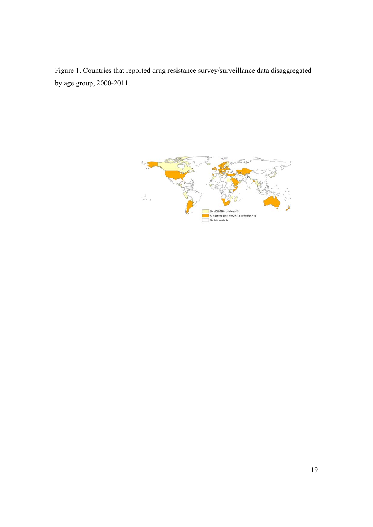Figure 1. Countries that reported drug resistance survey/surveillance data disaggregated by age group, 2000-2011.